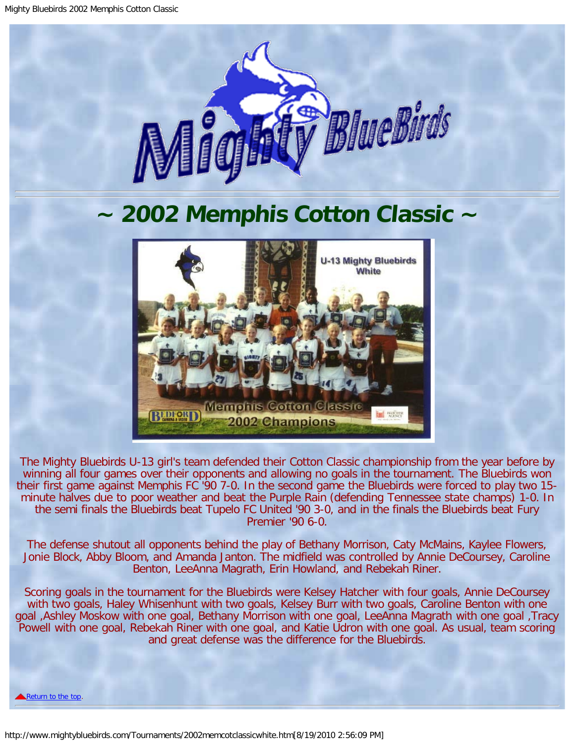

## <span id="page-0-0"></span>**~ 2002 Memphis Cotton Classic ~**



The Mighty Bluebirds U-13 girl's team defended their Cotton Classic championship from the year before by winning all four games over their opponents and allowing no goals in the tournament. The Bluebirds won their first game against Memphis FC '90 7-0. In the second game the Bluebirds were forced to play two 15 minute halves due to poor weather and beat the Purple Rain (defending Tennessee state champs) 1-0. In the semi finals the Bluebirds beat Tupelo FC United '90 3-0, and in the finals the Bluebirds beat Fury Premier '90 6-0.

The defense shutout all opponents behind the play of Bethany Morrison, Caty McMains, Kaylee Flowers, Jonie Block, Abby Bloom, and Amanda Janton. The midfield was controlled by Annie DeCoursey, Caroline Benton, LeeAnna Magrath, Erin Howland, and Rebekah Riner.

Scoring goals in the tournament for the Bluebirds were Kelsey Hatcher with four goals, Annie DeCoursey with two goals, Haley Whisenhunt with two goals, Kelsey Burr with two goals, Caroline Benton with one goal ,Ashley Moskow with one goal, Bethany Morrison with one goal, LeeAnna Magrath with one goal ,Tracy Powell with one goal, Rebekah Riner with one goal, and Katie Udron with one goal. As usual, team scoring and great defense was the difference for the Bluebirds.

[Return to the top.](#page-0-0)